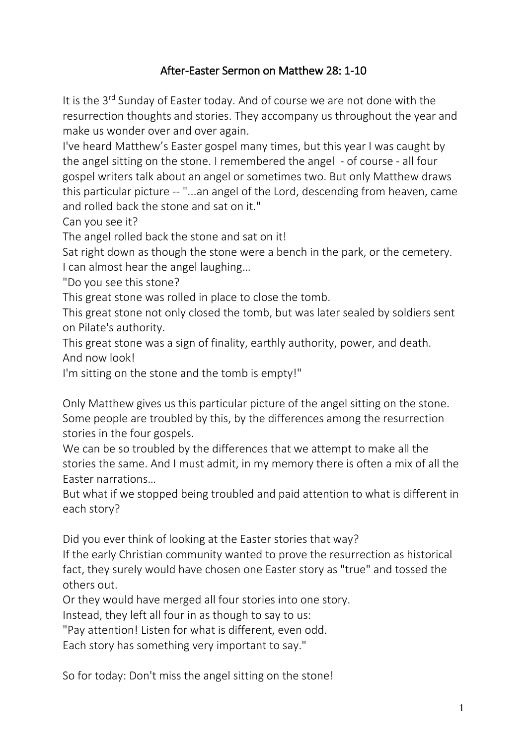## After-Easter Sermon on Matthew 28: 1-10

It is the 3<sup>rd</sup> Sunday of Easter today. And of course we are not done with the resurrection thoughts and stories. They accompany us throughout the year and make us wonder over and over again.

I've heard Matthew's Easter gospel many times, but this year I was caught by the angel sitting on the stone. I remembered the angel - of course - all four gospel writers talk about an angel or sometimes two. But only Matthew draws this particular picture -- "...an angel of the Lord, descending from heaven, came and rolled back the stone and sat on it."

Can you see it?

The angel rolled back the stone and sat on it!

Sat right down as though the stone were a bench in the park, or the cemetery. I can almost hear the angel laughing…

"Do you see this stone?

This great stone was rolled in place to close the tomb.

This great stone not only closed the tomb, but was later sealed by soldiers sent on Pilate's authority.

This great stone was a sign of finality, earthly authority, power, and death. And now look!

I'm sitting on the stone and the tomb is empty!"

Only Matthew gives us this particular picture of the angel sitting on the stone. Some people are troubled by this, by the differences among the resurrection stories in the four gospels.

We can be so troubled by the differences that we attempt to make all the stories the same. And I must admit, in my memory there is often a mix of all the Easter narrations…

But what if we stopped being troubled and paid attention to what is different in each story?

Did you ever think of looking at the Easter stories that way?

If the early Christian community wanted to prove the resurrection as historical fact, they surely would have chosen one Easter story as "true" and tossed the others out.

Or they would have merged all four stories into one story.

Instead, they left all four in as though to say to us:

"Pay attention! Listen for what is different, even odd.

Each story has something very important to say."

So for today: Don't miss the angel sitting on the stone!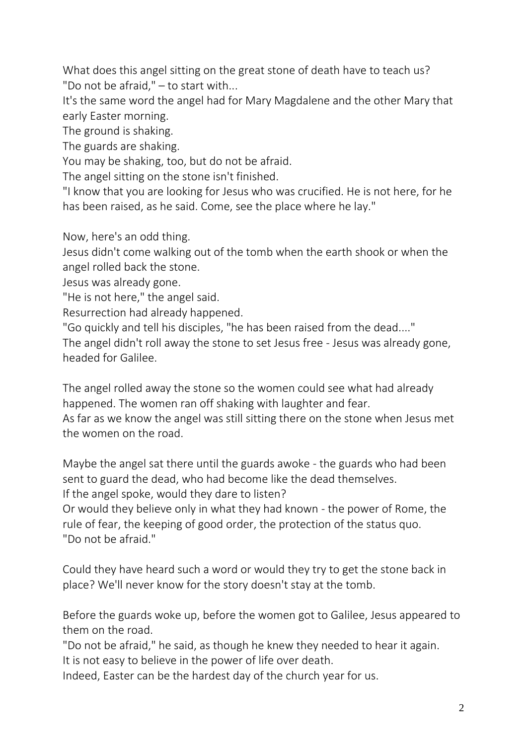What does this angel sitting on the great stone of death have to teach us? "Do not be afraid," – to start with...

It's the same word the angel had for Mary Magdalene and the other Mary that early Easter morning.

The ground is shaking.

The guards are shaking.

You may be shaking, too, but do not be afraid.

The angel sitting on the stone isn't finished.

"I know that you are looking for Jesus who was crucified. He is not here, for he has been raised, as he said. Come, see the place where he lay."

Now, here's an odd thing.

Jesus didn't come walking out of the tomb when the earth shook or when the angel rolled back the stone.

Jesus was already gone.

"He is not here," the angel said.

Resurrection had already happened.

"Go quickly and tell his disciples, "he has been raised from the dead...."

The angel didn't roll away the stone to set Jesus free - Jesus was already gone, headed for Galilee.

The angel rolled away the stone so the women could see what had already happened. The women ran off shaking with laughter and fear.

As far as we know the angel was still sitting there on the stone when Jesus met the women on the road.

Maybe the angel sat there until the guards awoke - the guards who had been sent to guard the dead, who had become like the dead themselves. If the angel spoke, would they dare to listen?

Or would they believe only in what they had known - the power of Rome, the rule of fear, the keeping of good order, the protection of the status quo. "Do not be afraid."

Could they have heard such a word or would they try to get the stone back in place? We'll never know for the story doesn't stay at the tomb.

Before the guards woke up, before the women got to Galilee, Jesus appeared to them on the road.

"Do not be afraid," he said, as though he knew they needed to hear it again. It is not easy to believe in the power of life over death.

Indeed, Easter can be the hardest day of the church year for us.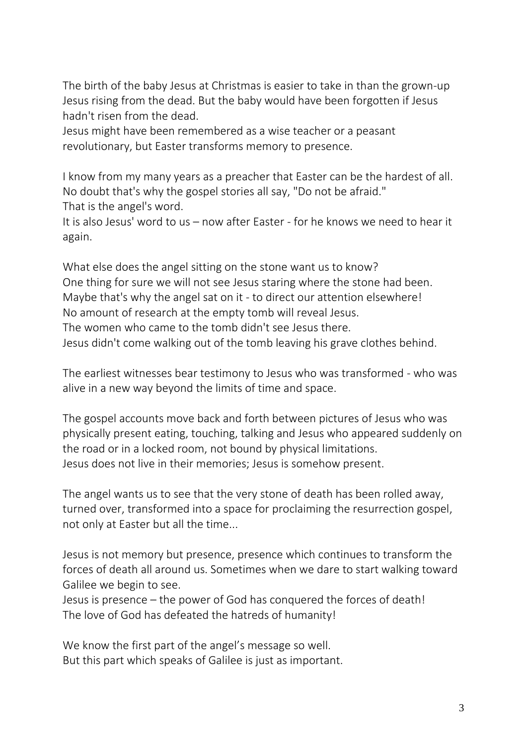The birth of the baby Jesus at Christmas is easier to take in than the grown-up Jesus rising from the dead. But the baby would have been forgotten if Jesus hadn't risen from the dead.

Jesus might have been remembered as a wise teacher or a peasant revolutionary, but Easter transforms memory to presence.

I know from my many years as a preacher that Easter can be the hardest of all. No doubt that's why the gospel stories all say, "Do not be afraid." That is the angel's word.

It is also Jesus' word to us – now after Easter - for he knows we need to hear it again.

What else does the angel sitting on the stone want us to know? One thing for sure we will not see Jesus staring where the stone had been. Maybe that's why the angel sat on it - to direct our attention elsewhere! No amount of research at the empty tomb will reveal Jesus. The women who came to the tomb didn't see Jesus there. Jesus didn't come walking out of the tomb leaving his grave clothes behind.

The earliest witnesses bear testimony to Jesus who was transformed - who was alive in a new way beyond the limits of time and space.

The gospel accounts move back and forth between pictures of Jesus who was physically present eating, touching, talking and Jesus who appeared suddenly on the road or in a locked room, not bound by physical limitations. Jesus does not live in their memories; Jesus is somehow present.

The angel wants us to see that the very stone of death has been rolled away, turned over, transformed into a space for proclaiming the resurrection gospel, not only at Easter but all the time...

Jesus is not memory but presence, presence which continues to transform the forces of death all around us. Sometimes when we dare to start walking toward Galilee we begin to see.

Jesus is presence – the power of God has conquered the forces of death! The love of God has defeated the hatreds of humanity!

We know the first part of the angel's message so well. But this part which speaks of Galilee is just as important.